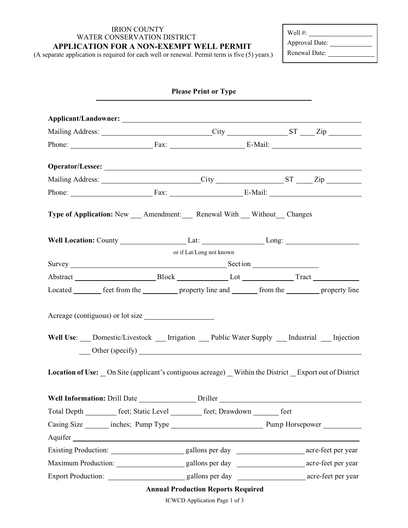# IRION COUNTY WATER CONSERVATION DISTRICT

### **APPLICATION FOR A NON-EXEMPT WELL PERMIT**

(A separate application is required for each well or renewal. Permit term is five (5) years.)

| Well $#$ :     |  |
|----------------|--|
| Approval Date: |  |
| Renewal Date:  |  |

| <b>Please Print or Type</b>                                                                                                                                                                                                    |  |                          |  |  |  |
|--------------------------------------------------------------------------------------------------------------------------------------------------------------------------------------------------------------------------------|--|--------------------------|--|--|--|
|                                                                                                                                                                                                                                |  |                          |  |  |  |
| Mailing Address: City City ST Zip                                                                                                                                                                                              |  |                          |  |  |  |
|                                                                                                                                                                                                                                |  | Phone: Fax: Fax: E-Mail: |  |  |  |
|                                                                                                                                                                                                                                |  |                          |  |  |  |
|                                                                                                                                                                                                                                |  |                          |  |  |  |
| Phone: Fax: Fax: E-Mail:                                                                                                                                                                                                       |  |                          |  |  |  |
| Type of Application: New __ Amendment: __ Renewal With __ Without __ Changes                                                                                                                                                   |  |                          |  |  |  |
| Well Location: County ______________________Lat: _____________________Long: ________________________                                                                                                                           |  |                          |  |  |  |
| or if Lat/Long not known                                                                                                                                                                                                       |  |                          |  |  |  |
| Survey Survey Survey Section Section Section Section Section Section Section Section Section Section Section Section Section Section Section Section Section Section Section Section Section Section Section Section Section S |  |                          |  |  |  |
| Abstract Block Lot Lot Tract                                                                                                                                                                                                   |  |                          |  |  |  |
| Located ________ feet from the ____________ property line and _________ from the __________ property line                                                                                                                      |  |                          |  |  |  |
| Acreage (contiguous) or lot size<br>Well Use: ___ Domestic/Livestock ___ Irrigation ___ Public Water Supply ___ Industrial ___ Injection<br>Other (specify)<br><u>University</u>                                               |  |                          |  |  |  |
| <b>Location of Use:</b> On Site (applicant's contiguous acreage) Within the District Export out of District                                                                                                                    |  |                          |  |  |  |
| Well Information: Drill Date _____________________Driller                                                                                                                                                                      |  |                          |  |  |  |
| Total Depth _________ feet; Static Level ________ feet; Drawdown ______ feet                                                                                                                                                   |  |                          |  |  |  |
|                                                                                                                                                                                                                                |  |                          |  |  |  |
|                                                                                                                                                                                                                                |  |                          |  |  |  |
|                                                                                                                                                                                                                                |  |                          |  |  |  |
|                                                                                                                                                                                                                                |  |                          |  |  |  |
| <b>Export Production:</b>                                                                                                                                                                                                      |  |                          |  |  |  |
| <b>Annual Production Reports Required</b>                                                                                                                                                                                      |  |                          |  |  |  |

ICWCD Application Page 1 of 3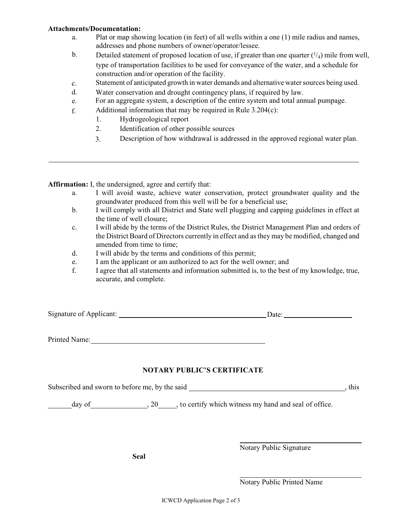#### **Attachments/Documentation:**

- a. Plat or map showing location (in feet) of all wells within a one (1) mile radius and names, addresses and phone numbers of owner/operator/lessee.
- b. Detailed statement of proposed location of use, if greater than one quarter  $(1/4)$  mile from well, type of transportation facilities to be used for conveyance of the water, and a schedule for construction and/or operation of the facility.
- c. Statement of anticipated growth in water demands and alternative water sources being used.
- d. Water conservation and drought contingency plans, if required by law.
- e. For an aggregate system, a description of the entire system and total annual pumpage.
- f. Additional information that may be required in Rule 3.204(c):
	- 1. Hydrogeological report
	- 2. Identification of other possible sources
	- 3. Description of how withdrawal is addressed in the approved regional water plan.

**Affirmation:** I, the undersigned, agree and certify that:

- a. I will avoid waste, achieve water conservation, protect groundwater quality and the groundwater produced from this well will be for a beneficial use;
- b. I will comply with all District and State well plugging and capping guidelines in effect at the time of well closure;
- c. I will abide by the terms of the District Rules, the District Management Plan and orders of the District Board of Directors currently in effect and as they may be modified, changed and amended from time to time;
- d. I will abide by the terms and conditions of this permit;
- e. I am the applicant or am authorized to act for the well owner; and
- f. I agree that all statements and information submitted is, to the best of my knowledge, true, accurate, and complete.

Signature of Applicant: Date: Date:

Printed Name: Name: Name and Name and Name and Name and Name and Name and Name and Name and Name and Name and Name and Name and Name and Name and Name and Name and Name and Name and Name and Name and Name and Name and Name

### **NOTARY PUBLIC'S CERTIFICATE**

Subscribed and sworn to before me, by the said , this

day of  $, 20$ , to certify which witness my hand and seal of office.

**Seal**

Notary Public Signature

Notary Public Printed Name